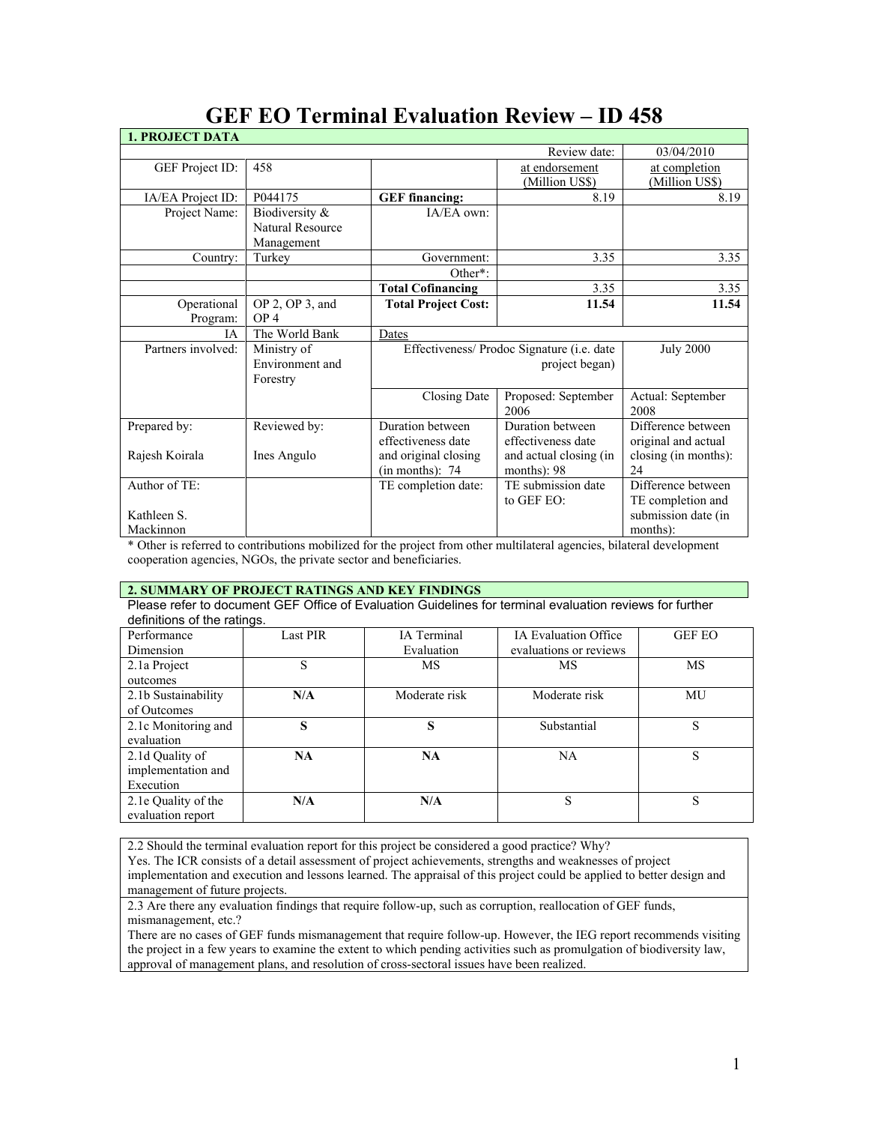|                                                  |                                                                | Review date:                                                     | 03/04/2010                                                        |
|--------------------------------------------------|----------------------------------------------------------------|------------------------------------------------------------------|-------------------------------------------------------------------|
| 458                                              |                                                                | at endorsement<br>(Million US\$)                                 | at completion<br>(Million US\$)                                   |
| P044175                                          | <b>GEF</b> financing:                                          | 8.19                                                             | 8.19                                                              |
| Biodiversity &<br>Natural Resource<br>Management | IA/EA own:                                                     |                                                                  |                                                                   |
| Turkey                                           | Government:                                                    | 3.35                                                             | 3.35                                                              |
|                                                  | Other <sup>*</sup> :                                           |                                                                  |                                                                   |
|                                                  | <b>Total Cofinancing</b>                                       | 3.35                                                             | 3.35                                                              |
| $OP$ 2, $OP$ 3, and<br>OP <sub>4</sub>           | <b>Total Project Cost:</b>                                     | 11.54                                                            | 11.54                                                             |
| The World Bank                                   |                                                                |                                                                  |                                                                   |
| Ministry of<br>Environment and<br>Forestry       |                                                                | <b>July 2000</b>                                                 |                                                                   |
|                                                  | Closing Date                                                   | Proposed: September<br>2006                                      | Actual: September<br>2008                                         |
| Reviewed by:<br>Ines Angulo                      | Duration between<br>effectiveness date<br>and original closing | Duration between<br>effectiveness date<br>and actual closing (in | Difference between<br>original and actual<br>closing (in months): |
|                                                  | (in months): 74                                                | months): $98$                                                    | 24                                                                |
|                                                  | TE completion date:                                            | TE submission date<br>to GEF EO:                                 | Difference between<br>TE completion and                           |
|                                                  |                                                                |                                                                  | submission date (in<br>months):                                   |
|                                                  |                                                                | Dates                                                            | Effectiveness/ Prodoc Signature (i.e. date<br>project began)      |

# **GEF EO Terminal Evaluation Review – ID 458**

\* Other is referred to contributions mobilized for the project from other multilateral agencies, bilateral development cooperation agencies, NGOs, the private sector and beneficiaries.

# **2. SUMMARY OF PROJECT RATINGS AND KEY FINDINGS**

Please refer to document GEF Office of Evaluation Guidelines for terminal evaluation reviews for further definitions of the ratings.

| Performance         | <b>Last PIR</b> | IA Terminal   | <b>IA Evaluation Office</b> | <b>GEF EO</b> |
|---------------------|-----------------|---------------|-----------------------------|---------------|
| Dimension           |                 | Evaluation    | evaluations or reviews      |               |
| 2.1a Project        | S               | МS            | MS                          | MS            |
| outcomes            |                 |               |                             |               |
| 2.1b Sustainability | N/A             | Moderate risk | Moderate risk               | MU            |
| of Outcomes         |                 |               |                             |               |
| 2.1c Monitoring and | S               | S             | Substantial                 | S             |
| evaluation          |                 |               |                             |               |
| 2.1d Quality of     | <b>NA</b>       | <b>NA</b>     | NA                          | S             |
| implementation and  |                 |               |                             |               |
| Execution           |                 |               |                             |               |
| 2.1e Quality of the | N/A             | N/A           | S                           | S             |
| evaluation report   |                 |               |                             |               |

2.2 Should the terminal evaluation report for this project be considered a good practice? Why?

Yes. The ICR consists of a detail assessment of project achievements, strengths and weaknesses of project implementation and execution and lessons learned. The appraisal of this project could be applied to better design and management of future projects.

2.3 Are there any evaluation findings that require follow-up, such as corruption, reallocation of GEF funds, mismanagement, etc.?

There are no cases of GEF funds mismanagement that require follow-up. However, the IEG report recommends visiting the project in a few years to examine the extent to which pending activities such as promulgation of biodiversity law, approval of management plans, and resolution of cross-sectoral issues have been realized.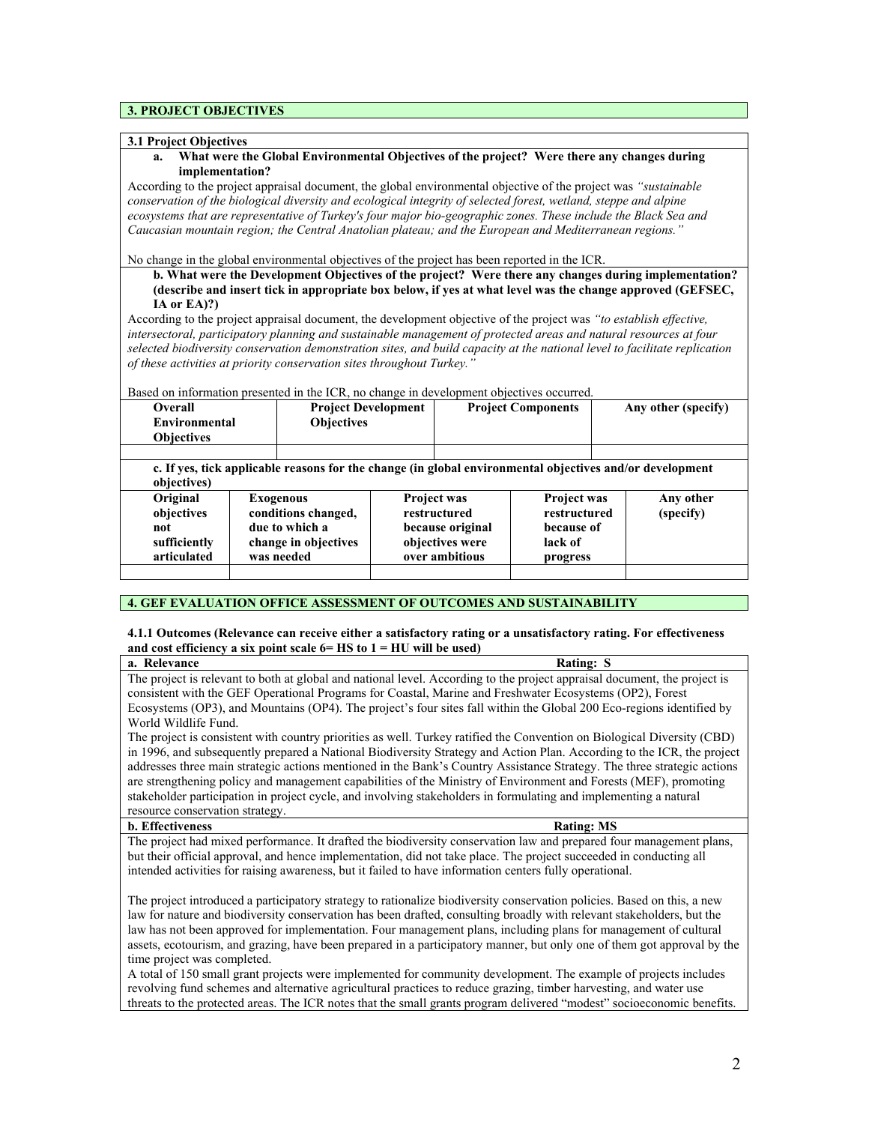# **3. PROJECT OBJECTIVES**

#### **3.1 Project Objectives**

### **a. What were the Global Environmental Objectives of the project? Were there any changes during implementation?**

According to the project appraisal document, the global environmental objective of the project was *"sustainable conservation of the biological diversity and ecological integrity of selected forest, wetland, steppe and alpine ecosystems that are representative of Turkey's four major bio-geographic zones. These include the Black Sea and Caucasian mountain region; the Central Anatolian plateau; and the European and Mediterranean regions."*

#### No change in the global environmental objectives of the project has been reported in the ICR.

**b. What were the Development Objectives of the project? Were there any changes during implementation? (describe and insert tick in appropriate box below, if yes at what level was the change approved (GEFSEC, IA or EA)?)**

According to the project appraisal document, the development objective of the project was *"to establish effective, intersectoral, participatory planning and sustainable management of protected areas and natural resources at four selected biodiversity conservation demonstration sites, and build capacity at the national level to facilitate replication of these activities at priority conservation sites throughout Turkey."*

Based on information presented in the ICR, no change in development objectives occurred.

| <b>Overall</b><br>Environmental<br><b>Objectives</b>         | <b>Project Development</b><br><b>Objectives</b>                                                          |                                                                                             | <b>Project Components</b> |                                                                         | Any other (specify) |                        |
|--------------------------------------------------------------|----------------------------------------------------------------------------------------------------------|---------------------------------------------------------------------------------------------|---------------------------|-------------------------------------------------------------------------|---------------------|------------------------|
|                                                              |                                                                                                          |                                                                                             |                           |                                                                         |                     |                        |
| objectives)                                                  | c. If yes, tick applicable reasons for the change (in global environmental objectives and/or development |                                                                                             |                           |                                                                         |                     |                        |
| Original<br>objectives<br>not<br>sufficiently<br>articulated | <b>Exogenous</b><br>conditions changed,<br>due to which a<br>change in objectives<br>was needed          | <b>Project was</b><br>restructured<br>because original<br>objectives were<br>over ambitious |                           | <b>Project was</b><br>restructured<br>because of<br>lack of<br>progress |                     | Any other<br>(specify) |
|                                                              |                                                                                                          |                                                                                             |                           |                                                                         |                     |                        |

# **4. GEF EVALUATION OFFICE ASSESSMENT OF OUTCOMES AND SUSTAINABILITY**

# **4.1.1 Outcomes (Relevance can receive either a satisfactory rating or a unsatisfactory rating. For effectiveness and cost efficiency a six point scale 6= HS to 1 = HU will be used)**

**a. Relevance** Rating: S The project is relevant to both at global and national level. According to the project appraisal document, the project is consistent with the GEF Operational Programs for Coastal, Marine and Freshwater Ecosystems (OP2), Forest Ecosystems (OP3), and Mountains (OP4). The project's four sites fall within the Global 200 Eco-regions identified by World Wildlife Fund.

The project is consistent with country priorities as well. Turkey ratified the Convention on Biological Diversity (CBD) in 1996, and subsequently prepared a National Biodiversity Strategy and Action Plan. According to the ICR, the project addresses three main strategic actions mentioned in the Bank's Country Assistance Strategy. The three strategic actions are strengthening policy and management capabilities of the Ministry of Environment and Forests (MEF), promoting stakeholder participation in project cycle, and involving stakeholders in formulating and implementing a natural resource conservation strategy.

#### **b.** Effectiveness Rating: MS

The project had mixed performance. It drafted the biodiversity conservation law and prepared four management plans, but their official approval, and hence implementation, did not take place. The project succeeded in conducting all intended activities for raising awareness, but it failed to have information centers fully operational.

The project introduced a participatory strategy to rationalize biodiversity conservation policies. Based on this, a new law for nature and biodiversity conservation has been drafted, consulting broadly with relevant stakeholders, but the law has not been approved for implementation. Four management plans, including plans for management of cultural assets, ecotourism, and grazing, have been prepared in a participatory manner, but only one of them got approval by the time project was completed.

A total of 150 small grant projects were implemented for community development. The example of projects includes revolving fund schemes and alternative agricultural practices to reduce grazing, timber harvesting, and water use threats to the protected areas. The ICR notes that the small grants program delivered "modest" socioeconomic benefits.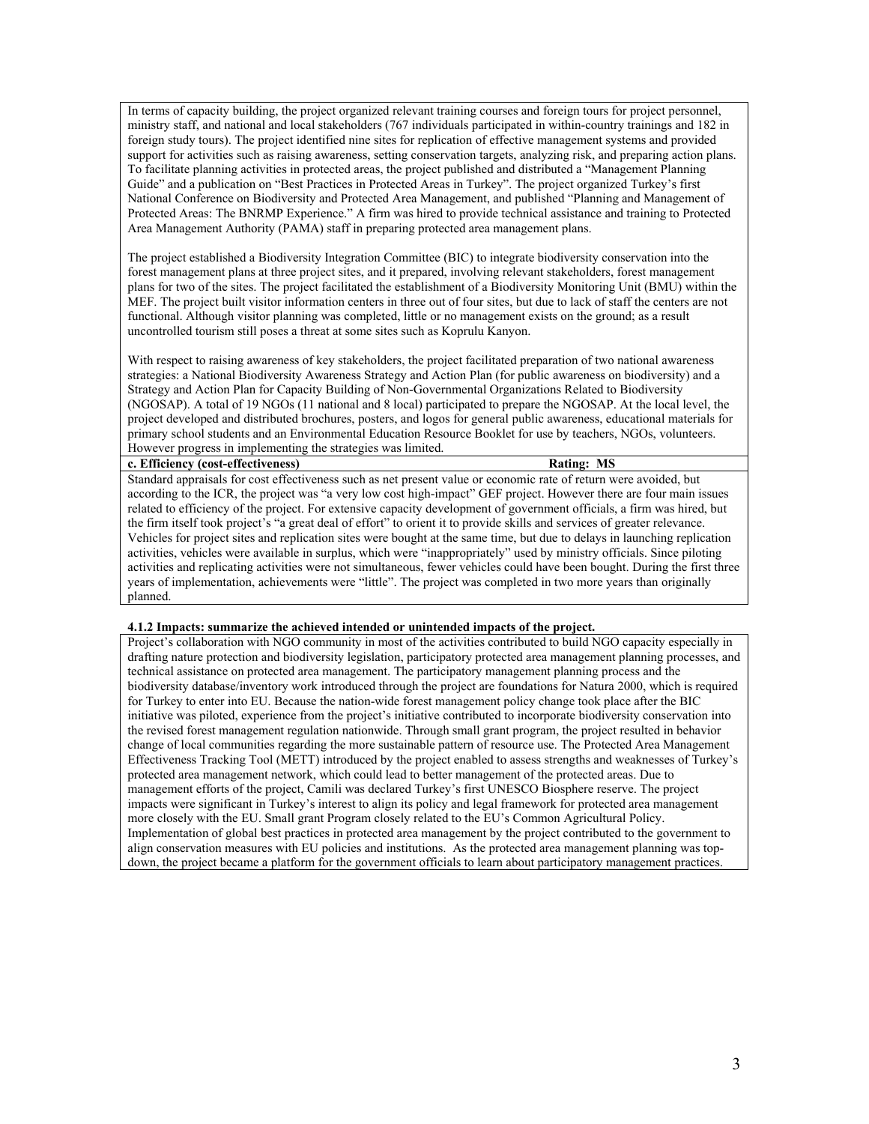In terms of capacity building, the project organized relevant training courses and foreign tours for project personnel, ministry staff, and national and local stakeholders (767 individuals participated in within-country trainings and 182 in foreign study tours). The project identified nine sites for replication of effective management systems and provided support for activities such as raising awareness, setting conservation targets, analyzing risk, and preparing action plans. To facilitate planning activities in protected areas, the project published and distributed a "Management Planning Guide" and a publication on "Best Practices in Protected Areas in Turkey". The project organized Turkey's first National Conference on Biodiversity and Protected Area Management, and published "Planning and Management of Protected Areas: The BNRMP Experience." A firm was hired to provide technical assistance and training to Protected Area Management Authority (PAMA) staff in preparing protected area management plans.

The project established a Biodiversity Integration Committee (BIC) to integrate biodiversity conservation into the forest management plans at three project sites, and it prepared, involving relevant stakeholders, forest management plans for two of the sites. The project facilitated the establishment of a Biodiversity Monitoring Unit (BMU) within the MEF. The project built visitor information centers in three out of four sites, but due to lack of staff the centers are not functional. Although visitor planning was completed, little or no management exists on the ground; as a result uncontrolled tourism still poses a threat at some sites such as Koprulu Kanyon.

With respect to raising awareness of key stakeholders, the project facilitated preparation of two national awareness strategies: a National Biodiversity Awareness Strategy and Action Plan (for public awareness on biodiversity) and a Strategy and Action Plan for Capacity Building of Non-Governmental Organizations Related to Biodiversity (NGOSAP). A total of 19 NGOs (11 national and 8 local) participated to prepare the NGOSAP. At the local level, the project developed and distributed brochures, posters, and logos for general public awareness, educational materials for primary school students and an Environmental Education Resource Booklet for use by teachers, NGOs, volunteers. However progress in implementing the strategies was limited.

**c. Efficiency (cost-effectiveness) Rating: MS**

Standard appraisals for cost effectiveness such as net present value or economic rate of return were avoided, but according to the ICR, the project was "a very low cost high-impact" GEF project. However there are four main issues related to efficiency of the project. For extensive capacity development of government officials, a firm was hired, but the firm itself took project's "a great deal of effort" to orient it to provide skills and services of greater relevance. Vehicles for project sites and replication sites were bought at the same time, but due to delays in launching replication activities, vehicles were available in surplus, which were "inappropriately" used by ministry officials. Since piloting activities and replicating activities were not simultaneous, fewer vehicles could have been bought. During the first three years of implementation, achievements were "little". The project was completed in two more years than originally planned.

#### **4.1.2 Impacts: summarize the achieved intended or unintended impacts of the project.**

Project's collaboration with NGO community in most of the activities contributed to build NGO capacity especially in drafting nature protection and biodiversity legislation, participatory protected area management planning processes, and technical assistance on protected area management. The participatory management planning process and the biodiversity database/inventory work introduced through the project are foundations for Natura 2000, which is required for Turkey to enter into EU. Because the nation-wide forest management policy change took place after the BIC initiative was piloted, experience from the project's initiative contributed to incorporate biodiversity conservation into the revised forest management regulation nationwide. Through small grant program, the project resulted in behavior change of local communities regarding the more sustainable pattern of resource use. The Protected Area Management Effectiveness Tracking Tool (METT) introduced by the project enabled to assess strengths and weaknesses of Turkey's protected area management network, which could lead to better management of the protected areas. Due to management efforts of the project, Camili was declared Turkey's first UNESCO Biosphere reserve. The project impacts were significant in Turkey's interest to align its policy and legal framework for protected area management more closely with the EU. Small grant Program closely related to the EU's Common Agricultural Policy. Implementation of global best practices in protected area management by the project contributed to the government to align conservation measures with EU policies and institutions. As the protected area management planning was topdown, the project became a platform for the government officials to learn about participatory management practices.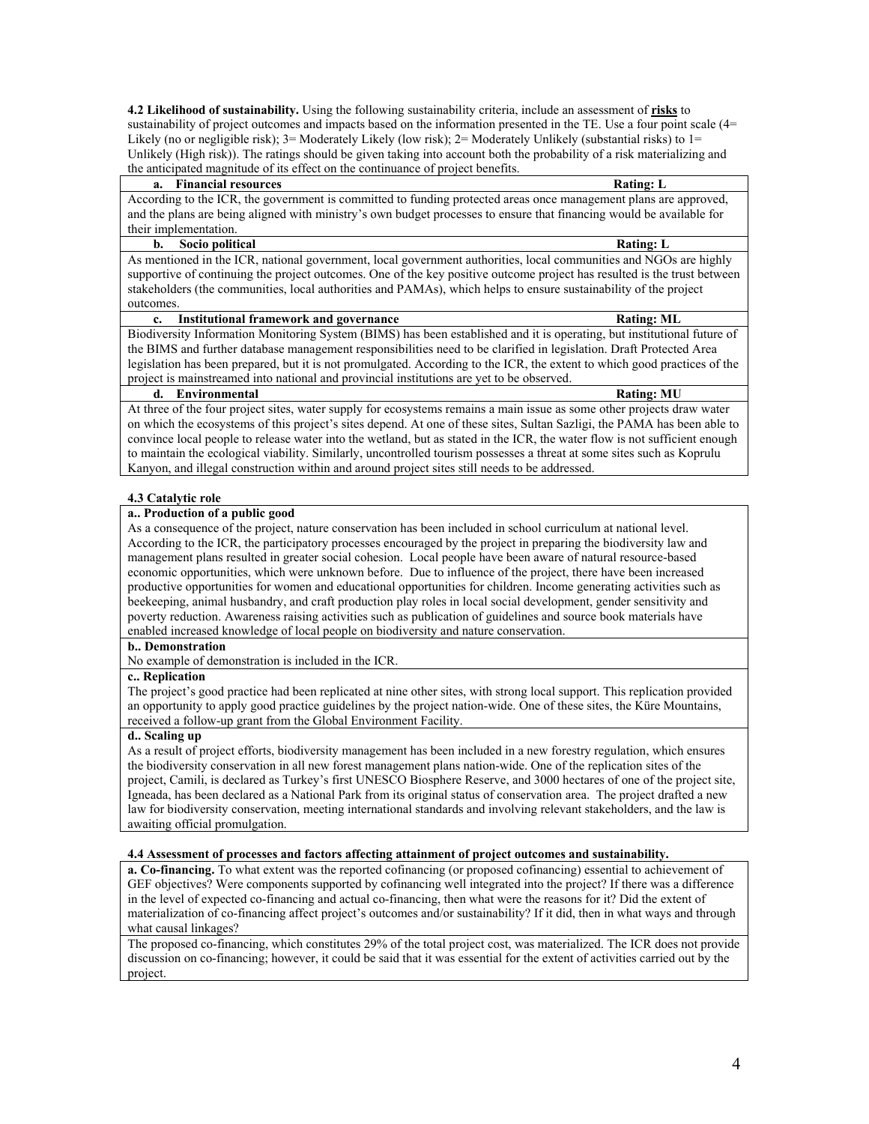**4.2 Likelihood of sustainability.** Using the following sustainability criteria, include an assessment of **risks** to sustainability of project outcomes and impacts based on the information presented in the TE. Use a four point scale (4= Likely (no or negligible risk); 3= Moderately Likely (low risk); 2= Moderately Unlikely (substantial risks) to 1= Unlikely (High risk)). The ratings should be given taking into account both the probability of a risk materializing and the anticipated magnitude of its effect on the continuance of project benefits.

#### **a.** Financial resources **Rating:** L

According to the ICR, the government is committed to funding protected areas once management plans are approved, and the plans are being aligned with ministry's own budget processes to ensure that financing would be available for their implementation.

#### **b.** Socio political Rating: L

As mentioned in the ICR, national government, local government authorities, local communities and NGOs are highly supportive of continuing the project outcomes. One of the key positive outcome project has resulted is the trust between stakeholders (the communities, local authorities and PAMAs), which helps to ensure sustainability of the project outcomes.

# **c.** Institutional framework and governance Rating: ML

Biodiversity Information Monitoring System (BIMS) has been established and it is operating, but institutional future of the BIMS and further database management responsibilities need to be clarified in legislation. Draft Protected Area legislation has been prepared, but it is not promulgated. According to the ICR, the extent to which good practices of the project is mainstreamed into national and provincial institutions are yet to be observed.

#### **d. Environmental Rating: MU**

At three of the four project sites, water supply for ecosystems remains a main issue as some other projects draw water on which the ecosystems of this project's sites depend. At one of these sites, Sultan Sazligi, the PAMA has been able to convince local people to release water into the wetland, but as stated in the ICR, the water flow is not sufficient enough to maintain the ecological viability. Similarly, uncontrolled tourism possesses a threat at some sites such as Koprulu Kanyon, and illegal construction within and around project sites still needs to be addressed.

# **4.3 Catalytic role**

# **a.. Production of a public good**

As a consequence of the project, nature conservation has been included in school curriculum at national level. According to the ICR, the participatory processes encouraged by the project in preparing the biodiversity law and management plans resulted in greater social cohesion. Local people have been aware of natural resource-based economic opportunities, which were unknown before. Due to influence of the project, there have been increased productive opportunities for women and educational opportunities for children. Income generating activities such as beekeeping, animal husbandry, and craft production play roles in local social development, gender sensitivity and poverty reduction. Awareness raising activities such as publication of guidelines and source book materials have enabled increased knowledge of local people on biodiversity and nature conservation.

#### **b.. Demonstration**

No example of demonstration is included in the ICR.

# **c.. Replication**

The project's good practice had been replicated at nine other sites, with strong local support. This replication provided an opportunity to apply good practice guidelines by the project nation-wide. One of these sites, the Küre Mountains, received a follow-up grant from the Global Environment Facility.

### **d.. Scaling up**

As a result of project efforts, biodiversity management has been included in a new forestry regulation, which ensures the biodiversity conservation in all new forest management plans nation-wide. One of the replication sites of the project, Camili, is declared as Turkey's first UNESCO Biosphere Reserve, and 3000 hectares of one of the project site, Igneada, has been declared as a National Park from its original status of conservation area. The project drafted a new law for biodiversity conservation, meeting international standards and involving relevant stakeholders, and the law is awaiting official promulgation.

# **4.4 Assessment of processes and factors affecting attainment of project outcomes and sustainability.**

**a. Co-financing.** To what extent was the reported cofinancing (or proposed cofinancing) essential to achievement of GEF objectives? Were components supported by cofinancing well integrated into the project? If there was a difference in the level of expected co-financing and actual co-financing, then what were the reasons for it? Did the extent of materialization of co-financing affect project's outcomes and/or sustainability? If it did, then in what ways and through what causal linkages?

The proposed co-financing, which constitutes 29% of the total project cost, was materialized. The ICR does not provide discussion on co-financing; however, it could be said that it was essential for the extent of activities carried out by the project.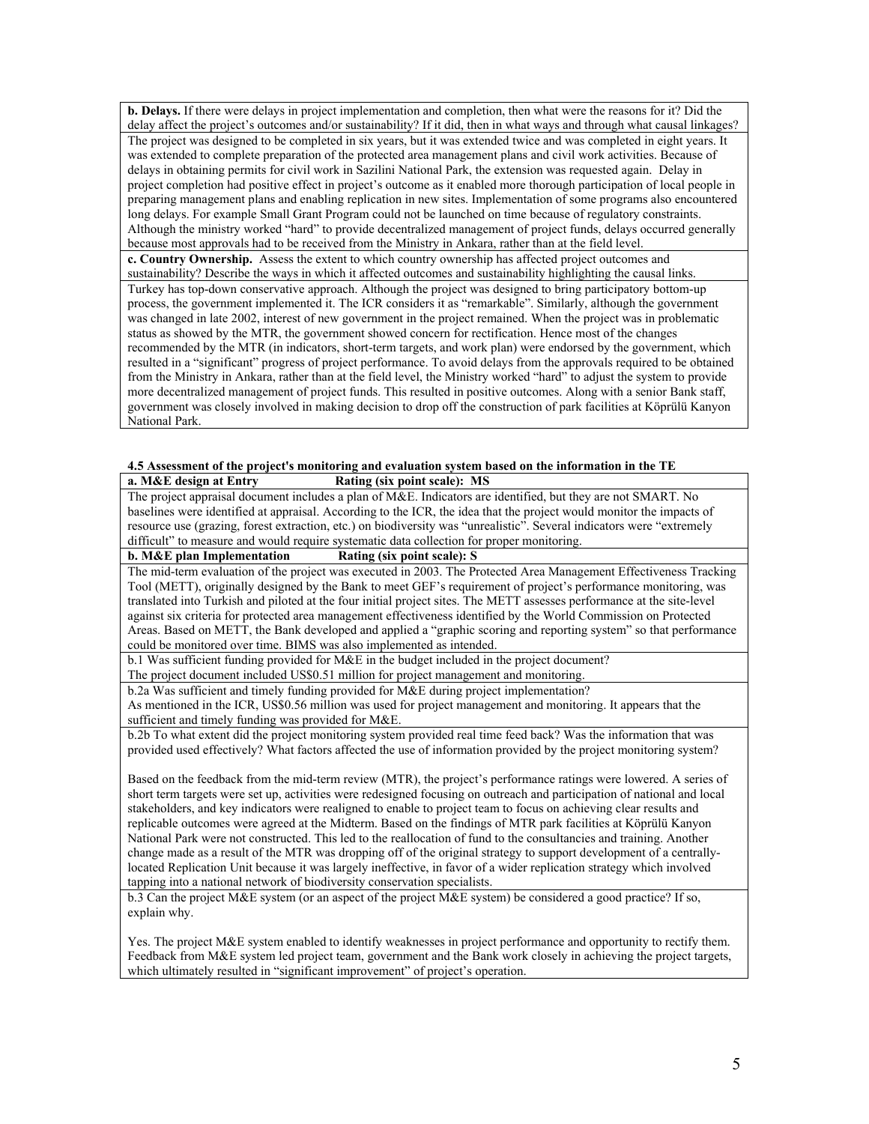**b. Delays.** If there were delays in project implementation and completion, then what were the reasons for it? Did the delay affect the project's outcomes and/or sustainability? If it did, then in what ways and through what causal linkages? The project was designed to be completed in six years, but it was extended twice and was completed in eight years. It was extended to complete preparation of the protected area management plans and civil work activities. Because of delays in obtaining permits for civil work in Sazilini National Park, the extension was requested again. Delay in project completion had positive effect in project's outcome as it enabled more thorough participation of local people in preparing management plans and enabling replication in new sites. Implementation of some programs also encountered long delays. For example Small Grant Program could not be launched on time because of regulatory constraints. Although the ministry worked "hard" to provide decentralized management of project funds, delays occurred generally because most approvals had to be received from the Ministry in Ankara, rather than at the field level. **c. Country Ownership.** Assess the extent to which country ownership has affected project outcomes and sustainability? Describe the ways in which it affected outcomes and sustainability highlighting the causal links. Turkey has top-down conservative approach. Although the project was designed to bring participatory bottom-up process, the government implemented it. The ICR considers it as "remarkable". Similarly, although the government was changed in late 2002, interest of new government in the project remained. When the project was in problematic status as showed by the MTR, the government showed concern for rectification. Hence most of the changes recommended by the MTR (in indicators, short-term targets, and work plan) were endorsed by the government, which resulted in a "significant" progress of project performance. To avoid delays from the approvals required to be obtained from the Ministry in Ankara, rather than at the field level, the Ministry worked "hard" to adjust the system to provide more decentralized management of project funds. This resulted in positive outcomes. Along with a senior Bank staff, government was closely involved in making decision to drop off the construction of park facilities at Köprülü Kanyon National Park.

### **4.5 Assessment of the project's monitoring and evaluation system based on the information in the TE a. M&E design at Entry Rating (six point scale): MS**

The project appraisal document includes a plan of M&E. Indicators are identified, but they are not SMART. No baselines were identified at appraisal. According to the ICR, the idea that the project would monitor the impacts of resource use (grazing, forest extraction, etc.) on biodiversity was "unrealistic". Several indicators were "extremely difficult" to measure and would require systematic data collection for proper monitoring.<br>b. M&E plan Implementation Rating (six point scale): S

# **Rating (six point scale): S**

The mid-term evaluation of the project was executed in 2003. The Protected Area Management Effectiveness Tracking Tool (METT), originally designed by the Bank to meet GEF's requirement of project's performance monitoring, was translated into Turkish and piloted at the four initial project sites. The METT assesses performance at the site-level against six criteria for protected area management effectiveness identified by the World Commission on Protected Areas. Based on METT, the Bank developed and applied a "graphic scoring and reporting system" so that performance could be monitored over time. BIMS was also implemented as intended.

b.1 Was sufficient funding provided for M&E in the budget included in the project document?

The project document included US\$0.51 million for project management and monitoring. b.2a Was sufficient and timely funding provided for M&E during project implementation?

As mentioned in the ICR, US\$0.56 million was used for project management and monitoring. It appears that the sufficient and timely funding was provided for M&E.

b.2b To what extent did the project monitoring system provided real time feed back? Was the information that was provided used effectively? What factors affected the use of information provided by the project monitoring system?

Based on the feedback from the mid-term review (MTR), the project's performance ratings were lowered. A series of short term targets were set up, activities were redesigned focusing on outreach and participation of national and local stakeholders, and key indicators were realigned to enable to project team to focus on achieving clear results and replicable outcomes were agreed at the Midterm. Based on the findings of MTR park facilities at Köprülü Kanyon National Park were not constructed. This led to the reallocation of fund to the consultancies and training. Another change made as a result of the MTR was dropping off of the original strategy to support development of a centrallylocated Replication Unit because it was largely ineffective, in favor of a wider replication strategy which involved tapping into a national network of biodiversity conservation specialists.

b.3 Can the project M&E system (or an aspect of the project M&E system) be considered a good practice? If so, explain why.

Yes. The project M&E system enabled to identify weaknesses in project performance and opportunity to rectify them. Feedback from M&E system led project team, government and the Bank work closely in achieving the project targets, which ultimately resulted in "significant improvement" of project's operation.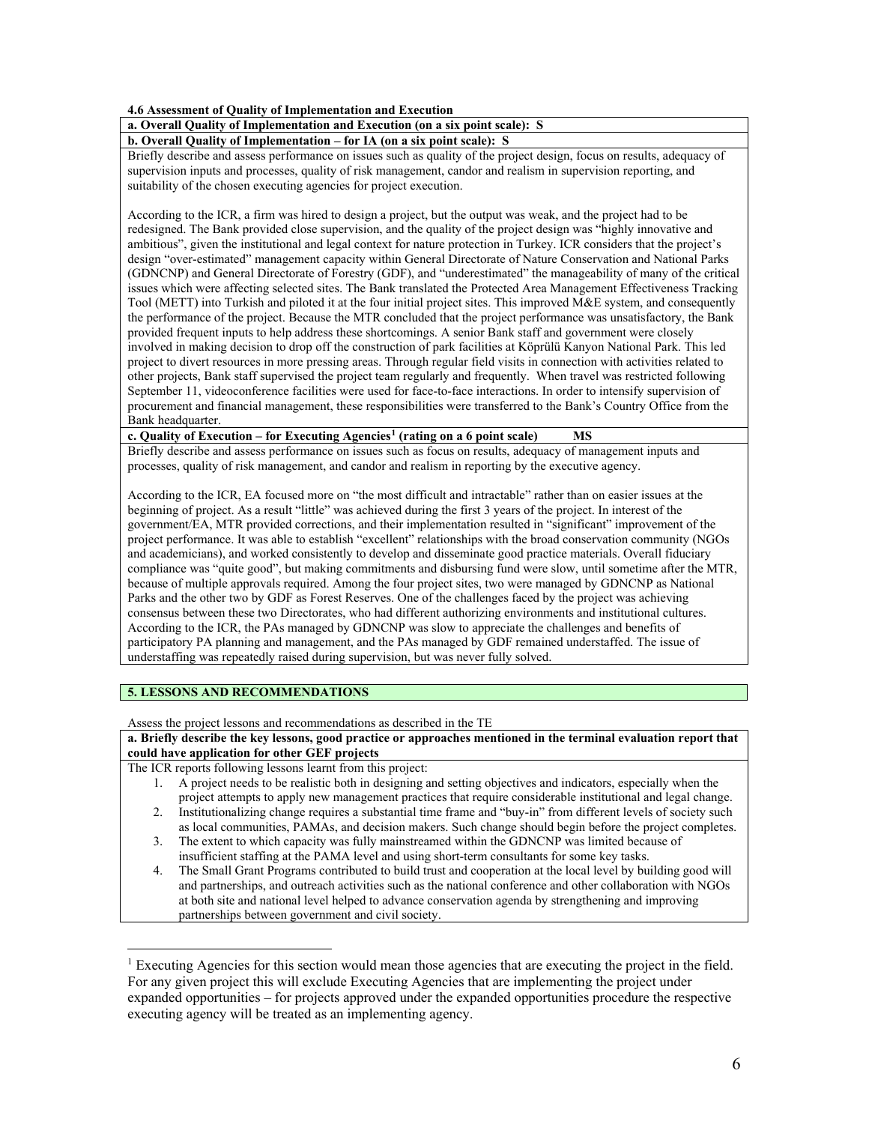**4.6 Assessment of Quality of Implementation and Execution**

# **a. Overall Quality of Implementation and Execution (on a six point scale): S**

**b. Overall Quality of Implementation – for IA (on a six point scale): S**

Briefly describe and assess performance on issues such as quality of the project design, focus on results, adequacy of supervision inputs and processes, quality of risk management, candor and realism in supervision reporting, and suitability of the chosen executing agencies for project execution.

According to the ICR, a firm was hired to design a project, but the output was weak, and the project had to be redesigned. The Bank provided close supervision, and the quality of the project design was "highly innovative and ambitious", given the institutional and legal context for nature protection in Turkey. ICR considers that the project's design "over-estimated" management capacity within General Directorate of Nature Conservation and National Parks (GDNCNP) and General Directorate of Forestry (GDF), and "underestimated" the manageability of many of the critical issues which were affecting selected sites. The Bank translated the Protected Area Management Effectiveness Tracking Tool (METT) into Turkish and piloted it at the four initial project sites. This improved M&E system, and consequently the performance of the project. Because the MTR concluded that the project performance was unsatisfactory, the Bank provided frequent inputs to help address these shortcomings. A senior Bank staff and government were closely involved in making decision to drop off the construction of park facilities at Köprülü Kanyon National Park. This led project to divert resources in more pressing areas. Through regular field visits in connection with activities related to other projects, Bank staff supervised the project team regularly and frequently. When travel was restricted following September 11, videoconference facilities were used for face-to-face interactions. In order to intensify supervision of procurement and financial management, these responsibilities were transferred to the Bank's Country Office from the Bank headquarter.

**c. Quality of Execution – for Executing Agencies[1](#page-5-0) (rating on a 6 point scale) MS**

Briefly describe and assess performance on issues such as focus on results, adequacy of management inputs and processes, quality of risk management, and candor and realism in reporting by the executive agency.

According to the ICR, EA focused more on "the most difficult and intractable" rather than on easier issues at the beginning of project. As a result "little" was achieved during the first 3 years of the project. In interest of the government/EA, MTR provided corrections, and their implementation resulted in "significant" improvement of the project performance. It was able to establish "excellent" relationships with the broad conservation community (NGOs and academicians), and worked consistently to develop and disseminate good practice materials. Overall fiduciary compliance was "quite good", but making commitments and disbursing fund were slow, until sometime after the MTR, because of multiple approvals required. Among the four project sites, two were managed by GDNCNP as National Parks and the other two by GDF as Forest Reserves. One of the challenges faced by the project was achieving consensus between these two Directorates, who had different authorizing environments and institutional cultures. According to the ICR, the PAs managed by GDNCNP was slow to appreciate the challenges and benefits of participatory PA planning and management, and the PAs managed by GDF remained understaffed. The issue of understaffing was repeatedly raised during supervision, but was never fully solved.

# **5. LESSONS AND RECOMMENDATIONS**

 $\overline{a}$ 

Assess the project lessons and recommendations as described in the TE

# **a. Briefly describe the key lessons, good practice or approaches mentioned in the terminal evaluation report that could have application for other GEF projects**

The ICR reports following lessons learnt from this project:

- 1. A project needs to be realistic both in designing and setting objectives and indicators, especially when the project attempts to apply new management practices that require considerable institutional and legal change.
- 2. Institutionalizing change requires a substantial time frame and "buy-in" from different levels of society such as local communities, PAMAs, and decision makers. Such change should begin before the project completes.
- 3. The extent to which capacity was fully mainstreamed within the GDNCNP was limited because of insufficient staffing at the PAMA level and using short-term consultants for some key tasks.
- 4. The Small Grant Programs contributed to build trust and cooperation at the local level by building good will and partnerships, and outreach activities such as the national conference and other collaboration with NGOs at both site and national level helped to advance conservation agenda by strengthening and improving partnerships between government and civil society.

<span id="page-5-0"></span><sup>&</sup>lt;sup>1</sup> Executing Agencies for this section would mean those agencies that are executing the project in the field. For any given project this will exclude Executing Agencies that are implementing the project under expanded opportunities – for projects approved under the expanded opportunities procedure the respective executing agency will be treated as an implementing agency.